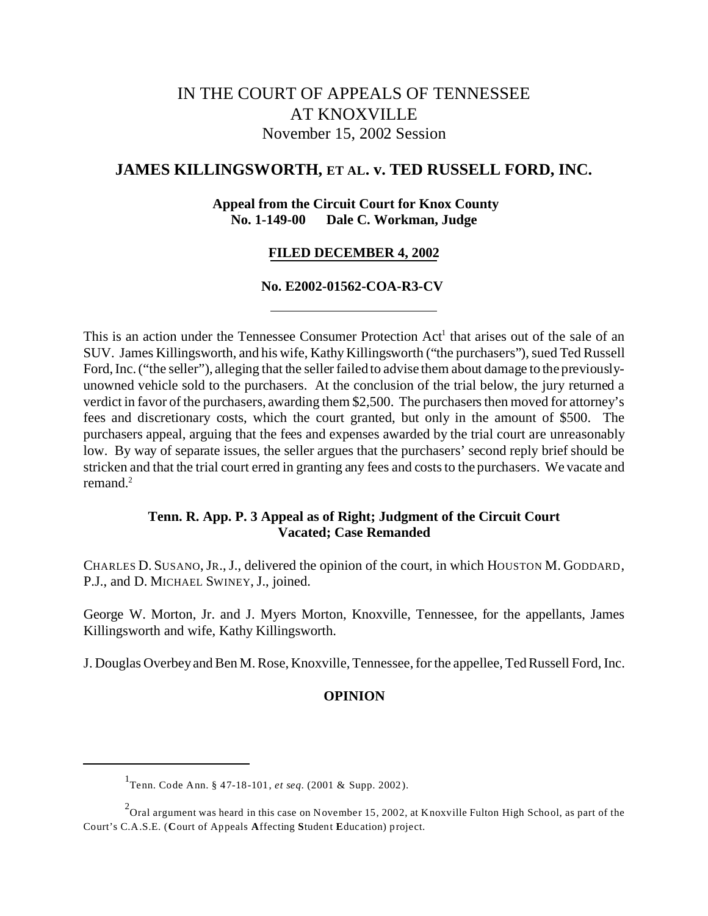# IN THE COURT OF APPEALS OF TENNESSEE AT KNOXVILLE November 15, 2002 Session

# **JAMES KILLINGSWORTH, ET AL. v. TED RUSSELL FORD, INC.**

## **Appeal from the Circuit Court for Knox County No. 1-149-00 Dale C. Workman, Judge**

#### **FILED DECEMBER 4, 2002**

## **No. E2002-01562-COA-R3-CV**

This is an action under the Tennessee Consumer Protection Act<sup>1</sup> that arises out of the sale of an SUV. James Killingsworth, and his wife, Kathy Killingsworth ("the purchasers"), sued Ted Russell Ford, Inc. ("the seller"), alleging that the seller failed to advise them about damage to the previouslyunowned vehicle sold to the purchasers. At the conclusion of the trial below, the jury returned a verdict in favor of the purchasers, awarding them \$2,500. The purchasers then moved for attorney's fees and discretionary costs, which the court granted, but only in the amount of \$500. The purchasers appeal, arguing that the fees and expenses awarded by the trial court are unreasonably low. By way of separate issues, the seller argues that the purchasers' second reply brief should be stricken and that the trial court erred in granting any fees and costs to the purchasers. We vacate and remand.<sup>2</sup>

## **Tenn. R. App. P. 3 Appeal as of Right; Judgment of the Circuit Court Vacated; Case Remanded**

CHARLES D. SUSANO,JR.,J., delivered the opinion of the court, in which HOUSTON M. GODDARD, P.J., and D. MICHAEL SWINEY, J., joined.

George W. Morton, Jr. and J. Myers Morton, Knoxville, Tennessee, for the appellants, James Killingsworth and wife, Kathy Killingsworth.

J. Douglas Overbey and Ben M. Rose, Knoxville, Tennessee, for the appellee, Ted Russell Ford, Inc.

#### **OPINION**

<sup>1</sup> Tenn. Code Ann. § 47-18-101, *et seq.* (2001 & Supp. 2002).

 $^2$ Oral argument was heard in this case on November 15, 2002, at Knoxville Fulton High School, as part of the Court's C.A.S.E. (**C**ourt of Appeals **A**ffecting **S**tudent **E**ducation) project.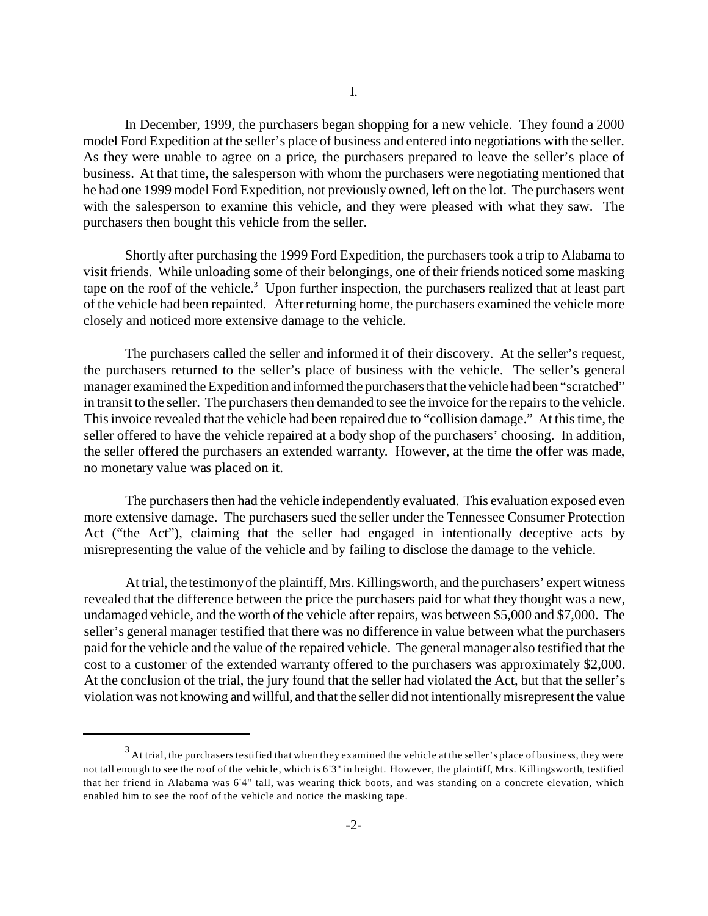In December, 1999, the purchasers began shopping for a new vehicle. They found a 2000 model Ford Expedition at the seller's place of business and entered into negotiations with the seller. As they were unable to agree on a price, the purchasers prepared to leave the seller's place of business. At that time, the salesperson with whom the purchasers were negotiating mentioned that he had one 1999 model Ford Expedition, not previously owned, left on the lot. The purchasers went with the salesperson to examine this vehicle, and they were pleased with what they saw. The purchasers then bought this vehicle from the seller.

Shortly after purchasing the 1999 Ford Expedition, the purchasers took a trip to Alabama to visit friends. While unloading some of their belongings, one of their friends noticed some masking tape on the roof of the vehicle.<sup>3</sup> Upon further inspection, the purchasers realized that at least part of the vehicle had been repainted. After returning home, the purchasers examined the vehicle more closely and noticed more extensive damage to the vehicle.

The purchasers called the seller and informed it of their discovery. At the seller's request, the purchasers returned to the seller's place of business with the vehicle. The seller's general manager examined the Expedition and informed the purchasers that the vehicle had been "scratched" in transit to the seller. The purchasers then demanded to see the invoice for the repairs to the vehicle. This invoice revealed that the vehicle had been repaired due to "collision damage." At this time, the seller offered to have the vehicle repaired at a body shop of the purchasers' choosing. In addition, the seller offered the purchasers an extended warranty. However, at the time the offer was made, no monetary value was placed on it.

The purchasers then had the vehicle independently evaluated. This evaluation exposed even more extensive damage. The purchasers sued the seller under the Tennessee Consumer Protection Act ("the Act"), claiming that the seller had engaged in intentionally deceptive acts by misrepresenting the value of the vehicle and by failing to disclose the damage to the vehicle.

At trial, the testimony of the plaintiff, Mrs. Killingsworth, and the purchasers' expert witness revealed that the difference between the price the purchasers paid for what they thought was a new, undamaged vehicle, and the worth of the vehicle after repairs, was between \$5,000 and \$7,000. The seller's general manager testified that there was no difference in value between what the purchasers paid for the vehicle and the value of the repaired vehicle. The general manager also testified that the cost to a customer of the extended warranty offered to the purchasers was approximately \$2,000. At the conclusion of the trial, the jury found that the seller had violated the Act, but that the seller's violation was not knowing and willful, and that the seller did not intentionally misrepresent the value

 $^3$  At trial, the purchasers testified that when they examined the vehicle at the seller's place of business, they were not tall enough to see the roof of the vehicle, which is 6'3" in height. However, the plaintiff, Mrs. Killingsworth, testified that her friend in Alabama was 6'4" tall, was wearing thick boots, and was standing on a concrete elevation, which enabled him to see the roof of the vehicle and notice the masking tape.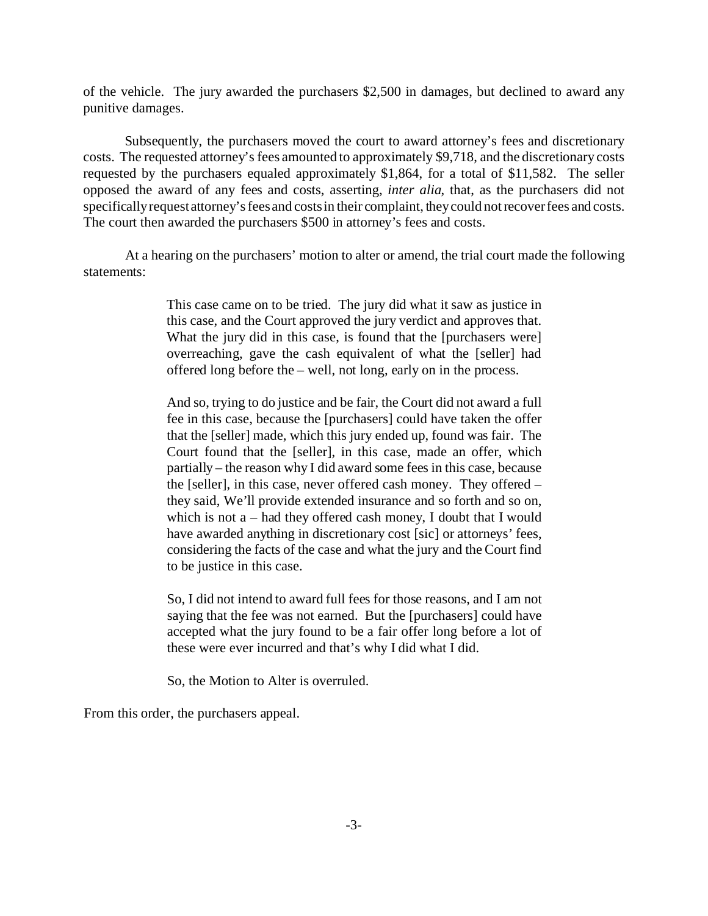of the vehicle. The jury awarded the purchasers \$2,500 in damages, but declined to award any punitive damages.

Subsequently, the purchasers moved the court to award attorney's fees and discretionary costs. The requested attorney's fees amounted to approximately \$9,718, and the discretionary costs requested by the purchasers equaled approximately \$1,864, for a total of \$11,582. The seller opposed the award of any fees and costs, asserting, *inter alia*, that, as the purchasers did not specifically request attorney's fees and costs in their complaint, they could not recover fees and costs. The court then awarded the purchasers \$500 in attorney's fees and costs.

At a hearing on the purchasers' motion to alter or amend, the trial court made the following statements:

> This case came on to be tried. The jury did what it saw as justice in this case, and the Court approved the jury verdict and approves that. What the jury did in this case, is found that the [purchasers were] overreaching, gave the cash equivalent of what the [seller] had offered long before the – well, not long, early on in the process.

> And so, trying to do justice and be fair, the Court did not award a full fee in this case, because the [purchasers] could have taken the offer that the [seller] made, which this jury ended up, found was fair. The Court found that the [seller], in this case, made an offer, which partially – the reason why I did award some fees in this case, because the [seller], in this case, never offered cash money. They offered – they said, We'll provide extended insurance and so forth and so on, which is not a – had they offered cash money, I doubt that I would have awarded anything in discretionary cost [sic] or attorneys' fees, considering the facts of the case and what the jury and the Court find to be justice in this case.

> So, I did not intend to award full fees for those reasons, and I am not saying that the fee was not earned. But the [purchasers] could have accepted what the jury found to be a fair offer long before a lot of these were ever incurred and that's why I did what I did.

So, the Motion to Alter is overruled.

From this order, the purchasers appeal.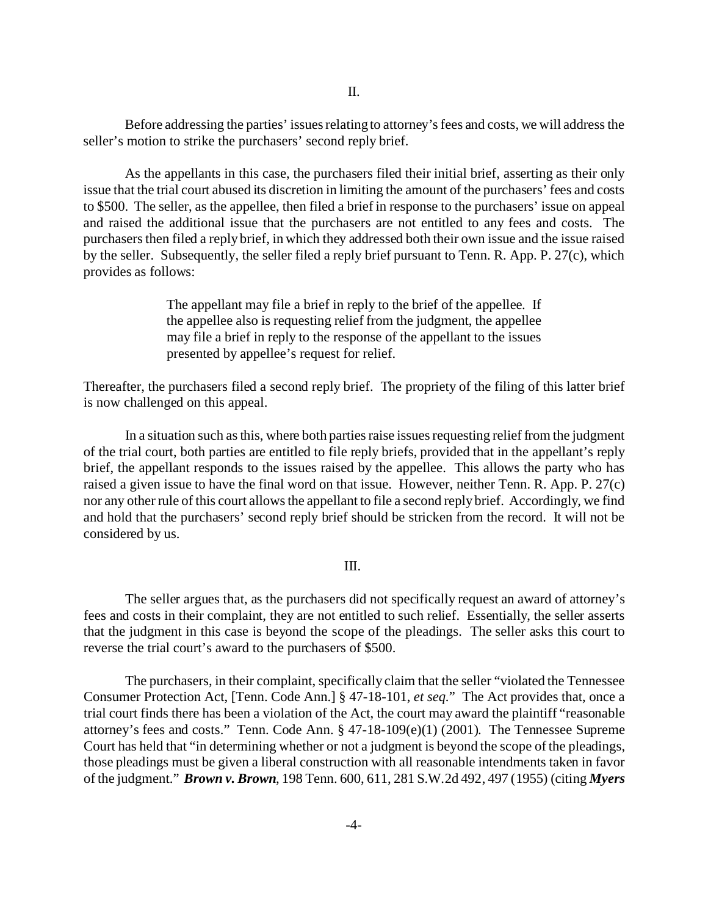Before addressing the parties' issues relating to attorney's fees and costs, we will address the seller's motion to strike the purchasers' second reply brief.

As the appellants in this case, the purchasers filed their initial brief, asserting as their only issue that the trial court abused its discretion in limiting the amount of the purchasers' fees and costs to \$500. The seller, as the appellee, then filed a brief in response to the purchasers' issue on appeal and raised the additional issue that the purchasers are not entitled to any fees and costs. The purchasers then filed a reply brief, in which they addressed both their own issue and the issue raised by the seller. Subsequently, the seller filed a reply brief pursuant to Tenn. R. App. P. 27(c), which provides as follows:

> The appellant may file a brief in reply to the brief of the appellee. If the appellee also is requesting relief from the judgment, the appellee may file a brief in reply to the response of the appellant to the issues presented by appellee's request for relief.

Thereafter, the purchasers filed a second reply brief. The propriety of the filing of this latter brief is now challenged on this appeal.

In a situation such as this, where both parties raise issues requesting relief from the judgment of the trial court, both parties are entitled to file reply briefs, provided that in the appellant's reply brief, the appellant responds to the issues raised by the appellee. This allows the party who has raised a given issue to have the final word on that issue. However, neither Tenn. R. App. P. 27(c) nor any other rule of this court allows the appellant to file a second reply brief. Accordingly, we find and hold that the purchasers' second reply brief should be stricken from the record. It will not be considered by us.

#### III.

The seller argues that, as the purchasers did not specifically request an award of attorney's fees and costs in their complaint, they are not entitled to such relief. Essentially, the seller asserts that the judgment in this case is beyond the scope of the pleadings. The seller asks this court to reverse the trial court's award to the purchasers of \$500.

The purchasers, in their complaint, specifically claim that the seller "violated the Tennessee Consumer Protection Act, [Tenn. Code Ann.] § 47-18-101, *et seq.*" The Act provides that, once a trial court finds there has been a violation of the Act, the court may award the plaintiff "reasonable attorney's fees and costs." Tenn. Code Ann. § 47-18-109(e)(1) (2001). The Tennessee Supreme Court has held that "in determining whether or not a judgment is beyond the scope of the pleadings, those pleadings must be given a liberal construction with all reasonable intendments taken in favor of the judgment." *Brown v. Brown*, 198 Tenn. 600, 611, 281 S.W.2d 492, 497 (1955) (citing *Myers*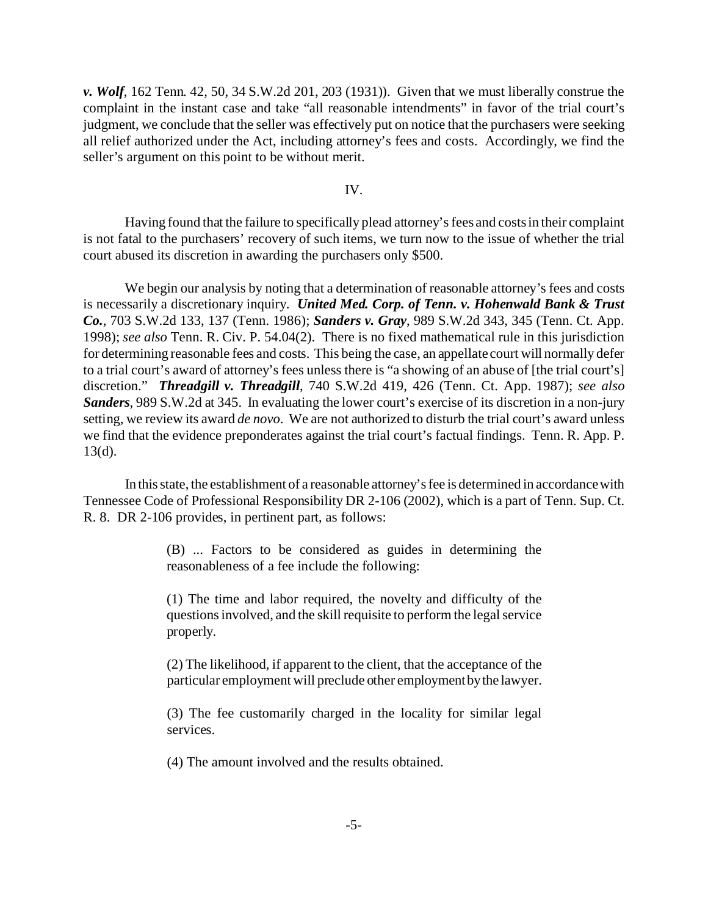*v. Wolf*, 162 Tenn. 42, 50, 34 S.W.2d 201, 203 (1931)). Given that we must liberally construe the complaint in the instant case and take "all reasonable intendments" in favor of the trial court's judgment, we conclude that the seller was effectively put on notice that the purchasers were seeking all relief authorized under the Act, including attorney's fees and costs. Accordingly, we find the seller's argument on this point to be without merit.

IV.

Having found that the failure to specifically plead attorney's fees and costs in their complaint is not fatal to the purchasers' recovery of such items, we turn now to the issue of whether the trial court abused its discretion in awarding the purchasers only \$500.

We begin our analysis by noting that a determination of reasonable attorney's fees and costs is necessarily a discretionary inquiry. *United Med. Corp. of Tenn. v. Hohenwald Bank & Trust Co.*, 703 S.W.2d 133, 137 (Tenn. 1986); *Sanders v. Gray*, 989 S.W.2d 343, 345 (Tenn. Ct. App. 1998); *see also* Tenn. R. Civ. P. 54.04(2). There is no fixed mathematical rule in this jurisdiction for determining reasonable fees and costs. This being the case, an appellate court will normally defer to a trial court's award of attorney's fees unless there is "a showing of an abuse of [the trial court's] discretion." *Threadgill v. Threadgill*, 740 S.W.2d 419, 426 (Tenn. Ct. App. 1987); *see also Sanders*, 989 S.W.2d at 345. In evaluating the lower court's exercise of its discretion in a non-jury setting, we review its award *de novo*. We are not authorized to disturb the trial court's award unless we find that the evidence preponderates against the trial court's factual findings. Tenn. R. App. P. 13(d).

In this state, the establishment of a reasonable attorney's fee is determined in accordance with Tennessee Code of Professional Responsibility DR 2-106 (2002), which is a part of Tenn. Sup. Ct. R. 8. DR 2-106 provides, in pertinent part, as follows:

> (B) ... Factors to be considered as guides in determining the reasonableness of a fee include the following:

> (1) The time and labor required, the novelty and difficulty of the questions involved, and the skill requisite to perform the legal service properly.

> (2) The likelihood, if apparent to the client, that the acceptance of the particular employment will preclude other employment by the lawyer.

> (3) The fee customarily charged in the locality for similar legal services.

(4) The amount involved and the results obtained.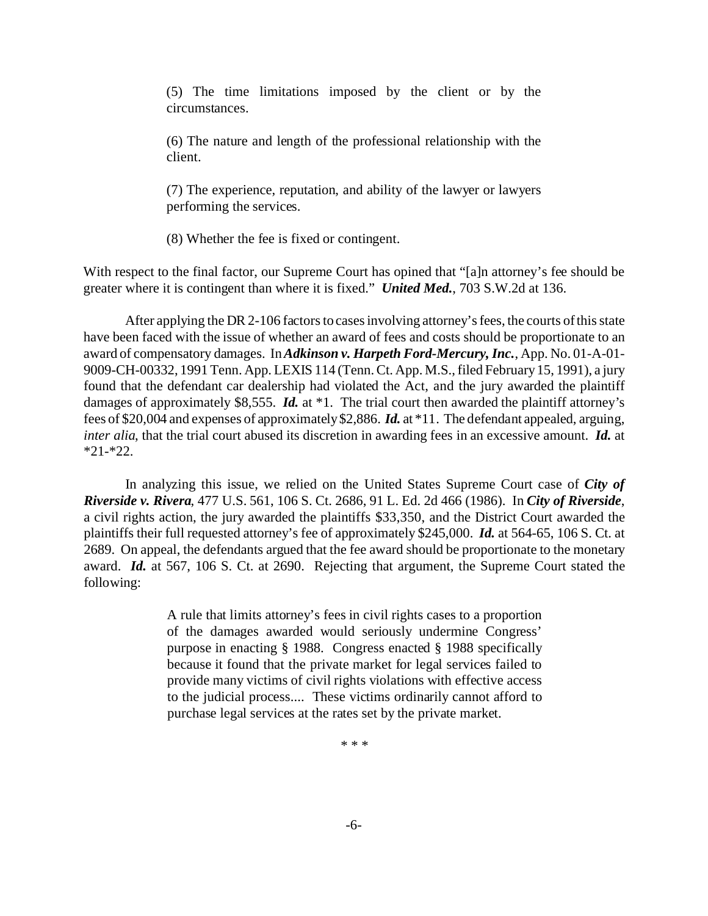(5) The time limitations imposed by the client or by the circumstances.

(6) The nature and length of the professional relationship with the client.

(7) The experience, reputation, and ability of the lawyer or lawyers performing the services.

(8) Whether the fee is fixed or contingent.

With respect to the final factor, our Supreme Court has opined that "[a]n attorney's fee should be greater where it is contingent than where it is fixed." *United Med.*, 703 S.W.2d at 136.

After applying the DR 2-106 factors to cases involving attorney's fees, the courts of this state have been faced with the issue of whether an award of fees and costs should be proportionate to an award of compensatory damages. In *Adkinson v. Harpeth Ford-Mercury, Inc.*, App. No. 01-A-01- 9009-CH-00332, 1991 Tenn. App. LEXIS 114 (Tenn. Ct. App. M.S., filed February 15, 1991), a jury found that the defendant car dealership had violated the Act, and the jury awarded the plaintiff damages of approximately \$8,555. *Id.* at \*1. The trial court then awarded the plaintiff attorney's fees of \$20,004 and expenses of approximately \$2,886. *Id.* at \*11. The defendant appealed, arguing, *inter alia*, that the trial court abused its discretion in awarding fees in an excessive amount. *Id.* at \*21-\*22.

In analyzing this issue, we relied on the United States Supreme Court case of *City of Riverside v. Rivera*, 477 U.S. 561, 106 S. Ct. 2686, 91 L. Ed. 2d 466 (1986). In *City of Riverside*, a civil rights action, the jury awarded the plaintiffs \$33,350, and the District Court awarded the plaintiffs their full requested attorney's fee of approximately \$245,000. *Id.* at 564-65, 106 S. Ct. at 2689. On appeal, the defendants argued that the fee award should be proportionate to the monetary award. *Id.* at 567, 106 S. Ct. at 2690. Rejecting that argument, the Supreme Court stated the following:

> A rule that limits attorney's fees in civil rights cases to a proportion of the damages awarded would seriously undermine Congress' purpose in enacting § 1988. Congress enacted § 1988 specifically because it found that the private market for legal services failed to provide many victims of civil rights violations with effective access to the judicial process.... These victims ordinarily cannot afford to purchase legal services at the rates set by the private market.

> > \* \* \*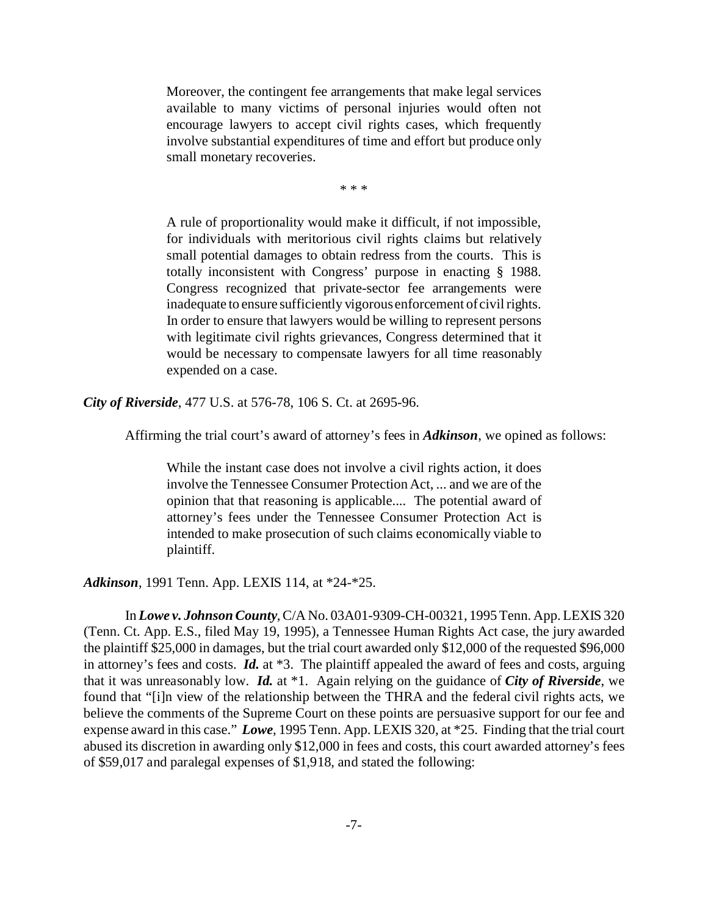Moreover, the contingent fee arrangements that make legal services available to many victims of personal injuries would often not encourage lawyers to accept civil rights cases, which frequently involve substantial expenditures of time and effort but produce only small monetary recoveries.

\* \* \*

A rule of proportionality would make it difficult, if not impossible, for individuals with meritorious civil rights claims but relatively small potential damages to obtain redress from the courts. This is totally inconsistent with Congress' purpose in enacting § 1988. Congress recognized that private-sector fee arrangements were inadequate to ensure sufficiently vigorous enforcement of civil rights. In order to ensure that lawyers would be willing to represent persons with legitimate civil rights grievances, Congress determined that it would be necessary to compensate lawyers for all time reasonably expended on a case.

*City of Riverside*, 477 U.S. at 576-78, 106 S. Ct. at 2695-96.

Affirming the trial court's award of attorney's fees in *Adkinson*, we opined as follows:

While the instant case does not involve a civil rights action, it does involve the Tennessee Consumer Protection Act, ... and we are of the opinion that that reasoning is applicable.... The potential award of attorney's fees under the Tennessee Consumer Protection Act is intended to make prosecution of such claims economically viable to plaintiff.

*Adkinson*, 1991 Tenn. App. LEXIS 114, at \*24-\*25.

In *Lowe v. Johnson County*, C/A No. 03A01-9309-CH-00321, 1995 Tenn. App. LEXIS 320 (Tenn. Ct. App. E.S., filed May 19, 1995), a Tennessee Human Rights Act case, the jury awarded the plaintiff \$25,000 in damages, but the trial court awarded only \$12,000 of the requested \$96,000 in attorney's fees and costs. *Id.* at \*3. The plaintiff appealed the award of fees and costs, arguing that it was unreasonably low. *Id.* at \*1. Again relying on the guidance of *City of Riverside*, we found that "[i]n view of the relationship between the THRA and the federal civil rights acts, we believe the comments of the Supreme Court on these points are persuasive support for our fee and expense award in this case." *Lowe*, 1995 Tenn. App. LEXIS 320, at \*25. Finding that the trial court abused its discretion in awarding only \$12,000 in fees and costs, this court awarded attorney's fees of \$59,017 and paralegal expenses of \$1,918, and stated the following: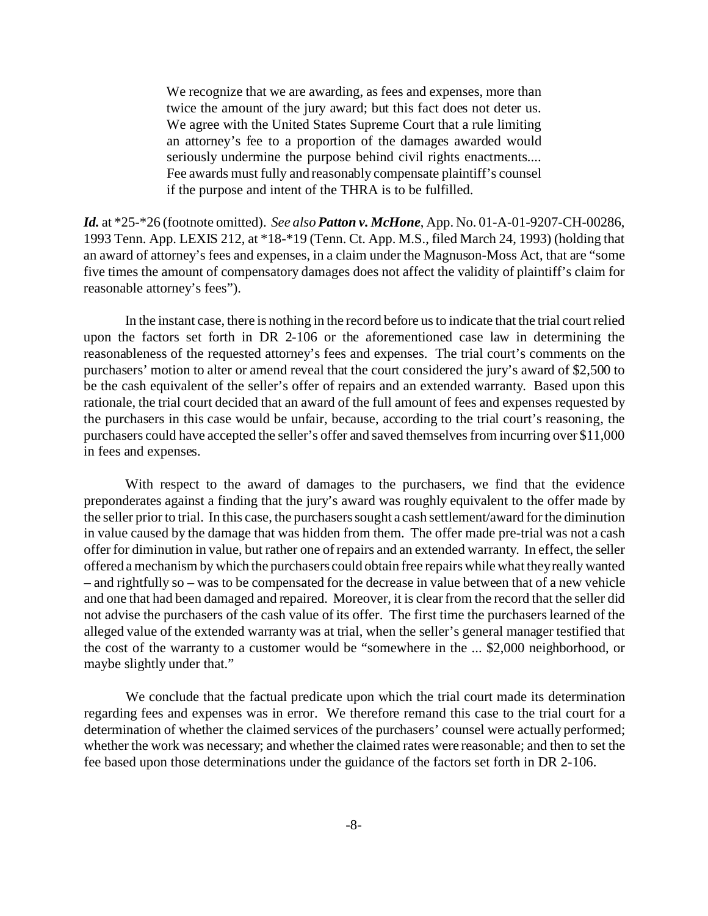We recognize that we are awarding, as fees and expenses, more than twice the amount of the jury award; but this fact does not deter us. We agree with the United States Supreme Court that a rule limiting an attorney's fee to a proportion of the damages awarded would seriously undermine the purpose behind civil rights enactments.... Fee awards must fully and reasonably compensate plaintiff's counsel if the purpose and intent of the THRA is to be fulfilled.

*Id.* at \*25-\*26 (footnote omitted). *See also Patton v. McHone*, App. No. 01-A-01-9207-CH-00286, 1993 Tenn. App. LEXIS 212, at \*18-\*19 (Tenn. Ct. App. M.S., filed March 24, 1993) (holding that an award of attorney's fees and expenses, in a claim under the Magnuson-Moss Act, that are "some five times the amount of compensatory damages does not affect the validity of plaintiff's claim for reasonable attorney's fees").

In the instant case, there is nothing in the record before us to indicate that the trial court relied upon the factors set forth in DR 2-106 or the aforementioned case law in determining the reasonableness of the requested attorney's fees and expenses. The trial court's comments on the purchasers' motion to alter or amend reveal that the court considered the jury's award of \$2,500 to be the cash equivalent of the seller's offer of repairs and an extended warranty. Based upon this rationale, the trial court decided that an award of the full amount of fees and expenses requested by the purchasers in this case would be unfair, because, according to the trial court's reasoning, the purchasers could have accepted the seller's offer and saved themselves from incurring over \$11,000 in fees and expenses.

With respect to the award of damages to the purchasers, we find that the evidence preponderates against a finding that the jury's award was roughly equivalent to the offer made by the seller prior to trial. In this case, the purchasers sought a cash settlement/award for the diminution in value caused by the damage that was hidden from them. The offer made pre-trial was not a cash offer for diminution in value, but rather one of repairs and an extended warranty. In effect, the seller offered a mechanism by which the purchasers could obtain free repairs while what they really wanted – and rightfully so – was to be compensated for the decrease in value between that of a new vehicle and one that had been damaged and repaired. Moreover, it is clear from the record that the seller did not advise the purchasers of the cash value of its offer. The first time the purchasers learned of the alleged value of the extended warranty was at trial, when the seller's general manager testified that the cost of the warranty to a customer would be "somewhere in the ... \$2,000 neighborhood, or maybe slightly under that."

We conclude that the factual predicate upon which the trial court made its determination regarding fees and expenses was in error. We therefore remand this case to the trial court for a determination of whether the claimed services of the purchasers' counsel were actually performed; whether the work was necessary; and whether the claimed rates were reasonable; and then to set the fee based upon those determinations under the guidance of the factors set forth in DR 2-106.